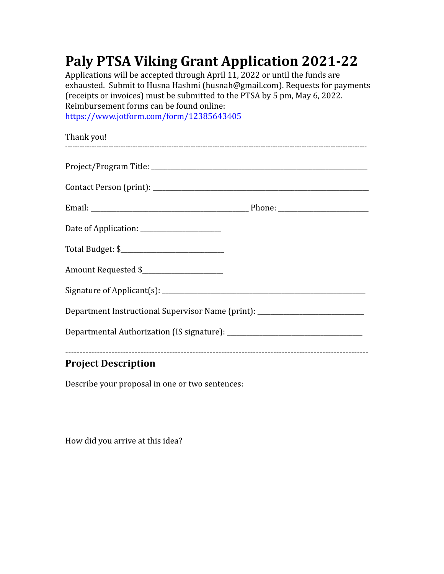## **Paly PTSA Viking Grant Application 2021-22**

Applications will be accepted through April 11, 2022 or until the funds are exhausted. Submit to Husna Hashmi (husnah@gmail.com). Requests for payments (receipts or invoices) must be submitted to the PTSA by 5 pm, May 6, 2022. Reimbursement forms can be found online: https://www.jotform.com/form/12385643405

| Project Description <b>Service Service Service Service Service</b>               |  |
|----------------------------------------------------------------------------------|--|
|                                                                                  |  |
|                                                                                  |  |
| Department Instructional Supervisor Name (print): ______________________________ |  |
|                                                                                  |  |
| Amount Requested \$                                                              |  |
|                                                                                  |  |
| Date of Application: ________________________                                    |  |
|                                                                                  |  |
|                                                                                  |  |
|                                                                                  |  |
|                                                                                  |  |
|                                                                                  |  |
| Thank you!                                                                       |  |

## **Project Description**

Describe your proposal in one or two sentences:

How did you arrive at this idea?